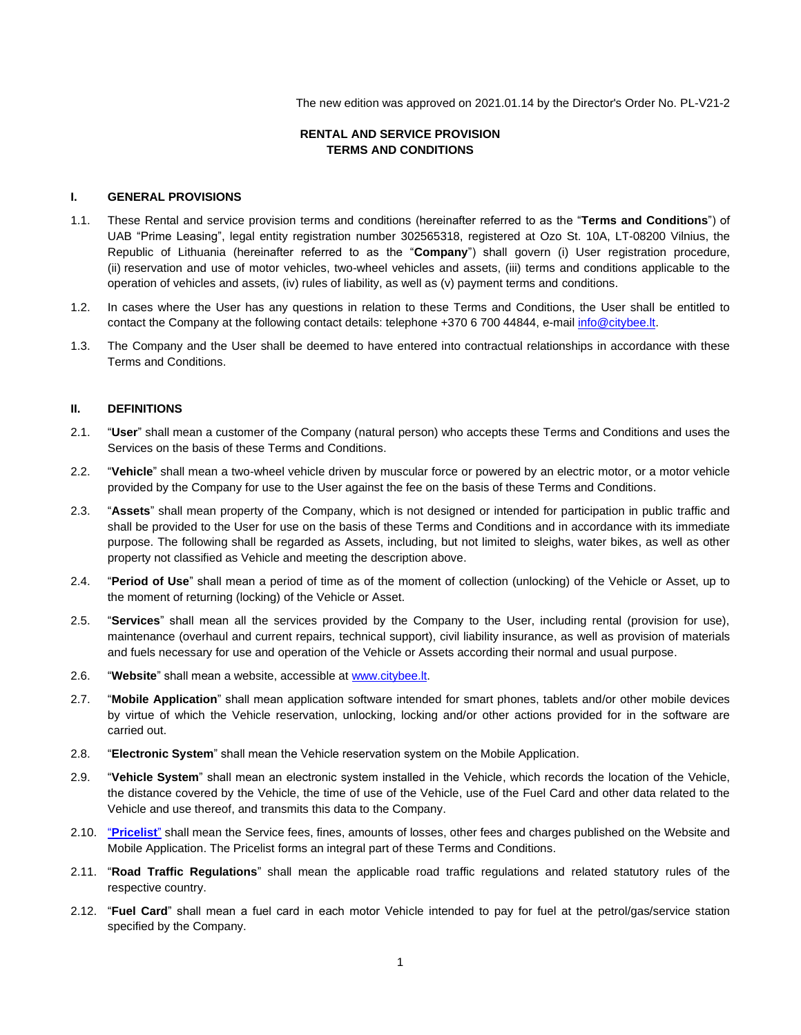The new edition was approved on 2021.01.14 by the Director's Order No. PL-V21-2

# **RENTAL AND SERVICE PROVISION TERMS AND CONDITIONS**

#### **I. GENERAL PROVISIONS**

- 1.1. These Rental and service provision terms and conditions (hereinafter referred to as the "**Terms and Conditions**") of UAB "Prime Leasing", legal entity registration number 302565318, registered at Ozo St. 10A, LT-08200 Vilnius, the Republic of Lithuania (hereinafter referred to as the "**Company**") shall govern (i) User registration procedure, (ii) reservation and use of motor vehicles, two-wheel vehicles and assets, (iii) terms and conditions applicable to the operation of vehicles and assets, (iv) rules of liability, as well as (v) payment terms and conditions.
- 1.2. In cases where the User has any questions in relation to these Terms and Conditions, the User shall be entitled to contact the Company at the following contact details: telephone +370 6 700 44844, e-mail [info@citybee.lt.](../../AppData/Local/Microsoft/Windows/INetCache/Content.Outlook/CFL1I6B3/info@citybee.lt)
- 1.3. The Company and the User shall be deemed to have entered into contractual relationships in accordance with these Terms and Conditions.

# **II. DEFINITIONS**

- 2.1. "**User**" shall mean a customer of the Company (natural person) who accepts these Terms and Conditions and uses the Services on the basis of these Terms and Conditions.
- 2.2. "**Vehicle**" shall mean a two-wheel vehicle driven by muscular force or powered by an electric motor, or a motor vehicle provided by the Company for use to the User against the fee on the basis of these Terms and Conditions.
- 2.3. "**Assets**" shall mean property of the Company, which is not designed or intended for participation in public traffic and shall be provided to the User for use on the basis of these Terms and Conditions and in accordance with its immediate purpose. The following shall be regarded as Assets, including, but not limited to sleighs, water bikes, as well as other property not classified as Vehicle and meeting the description above.
- 2.4. "**Period of Use**" shall mean a period of time as of the moment of collection (unlocking) of the Vehicle or Asset, up to the moment of returning (locking) of the Vehicle or Asset.
- 2.5. "**Services**" shall mean all the services provided by the Company to the User, including rental (provision for use), maintenance (overhaul and current repairs, technical support), civil liability insurance, as well as provision of materials and fuels necessary for use and operation of the Vehicle or Assets according their normal and usual purpose.
- 2.6. "**Website**" shall mean a website, accessible at [www.citybee.lt.](https://www.citybee.lt/lt)
- 2.7. "**Mobile Application**" shall mean application software intended for smart phones, tablets and/or other mobile devices by virtue of which the Vehicle reservation, unlocking, locking and/or other actions provided for in the software are carried out.
- 2.8. "**Electronic System**" shall mean the Vehicle reservation system on the Mobile Application.
- 2.9. "**Vehicle System**" shall mean an electronic system installed in the Vehicle, which records the location of the Vehicle, the distance covered by the Vehicle, the time of use of the Vehicle, use of the Fuel Card and other data related to the Vehicle and use thereof, and transmits this data to the Company.
- 2.10. "**[Pricelist](https://www.citybee.lt/en/faq/ar-yra-papildomu-naudojimosi-citybee-paslauga-mokesciu)**" shall mean the Service fees, fines, amounts of losses, other fees and charges published on the Website and Mobile Application. The Pricelist forms an integral part of these Terms and Conditions.
- 2.11. "**Road Traffic Regulations**" shall mean the applicable road traffic regulations and related statutory rules of the respective country.
- 2.12. "**Fuel Card**" shall mean a fuel card in each motor Vehicle intended to pay for fuel at the petrol/gas/service station specified by the Company.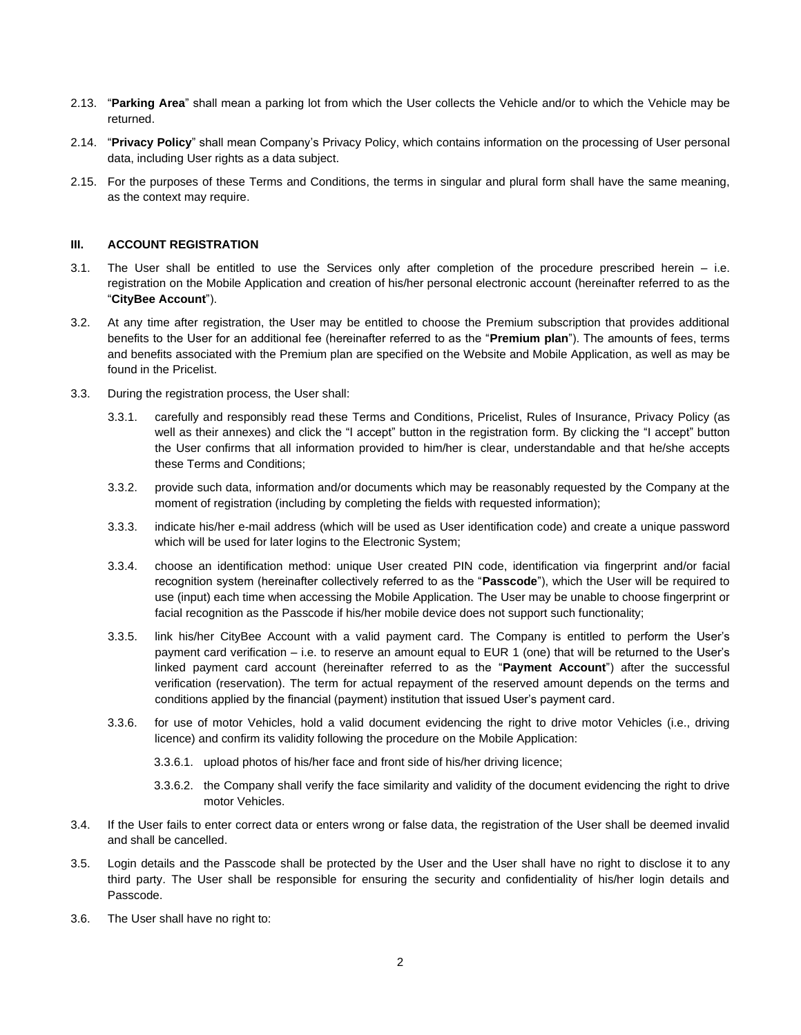- 2.13. "**Parking Area**" shall mean a parking lot from which the User collects the Vehicle and/or to which the Vehicle may be returned.
- 2.14. "**Privacy Policy**" shall mean Company's Privacy Policy, which contains information on the processing of User personal data, including User rights as a data subject.
- 2.15. For the purposes of these Terms and Conditions, the terms in singular and plural form shall have the same meaning, as the context may require.

# **III. ACCOUNT REGISTRATION**

- 3.1. The User shall be entitled to use the Services only after completion of the procedure prescribed herein i.e. registration on the Mobile Application and creation of his/her personal electronic account (hereinafter referred to as the "**CityBee Account**").
- 3.2. At any time after registration, the User may be entitled to choose the Premium subscription that provides additional benefits to the User for an additional fee (hereinafter referred to as the "**Premium plan**"). The amounts of fees, terms and benefits associated with the Premium plan are specified on the Website and Mobile Application, as well as may be found in the Pricelist.
- 3.3. During the registration process, the User shall:
	- 3.3.1. carefully and responsibly read these Terms and Conditions, Pricelist, Rules of Insurance, Privacy Policy (as well as their annexes) and click the "I accept" button in the registration form. By clicking the "I accept" button the User confirms that all information provided to him/her is clear, understandable and that he/she accepts these Terms and Conditions;
	- 3.3.2. provide such data, information and/or documents which may be reasonably requested by the Company at the moment of registration (including by completing the fields with requested information);
	- 3.3.3. indicate his/her e-mail address (which will be used as User identification code) and create a unique password which will be used for later logins to the Electronic System;
	- 3.3.4. choose an identification method: unique User created PIN code, identification via fingerprint and/or facial recognition system (hereinafter collectively referred to as the "**Passcode**"), which the User will be required to use (input) each time when accessing the Mobile Application. The User may be unable to choose fingerprint or facial recognition as the Passcode if his/her mobile device does not support such functionality;
	- 3.3.5. link his/her CityBee Account with a valid payment card. The Company is entitled to perform the User's payment card verification – i.e. to reserve an amount equal to EUR 1 (one) that will be returned to the User's linked payment card account (hereinafter referred to as the "**Payment Account**") after the successful verification (reservation). The term for actual repayment of the reserved amount depends on the terms and conditions applied by the financial (payment) institution that issued User's payment card.
	- 3.3.6. for use of motor Vehicles, hold a valid document evidencing the right to drive motor Vehicles (i.e., driving licence) and confirm its validity following the procedure on the Mobile Application:
		- 3.3.6.1. upload photos of his/her face and front side of his/her driving licence;
		- 3.3.6.2. the Company shall verify the face similarity and validity of the document evidencing the right to drive motor Vehicles.
- 3.4. If the User fails to enter correct data or enters wrong or false data, the registration of the User shall be deemed invalid and shall be cancelled.
- 3.5. Login details and the Passcode shall be protected by the User and the User shall have no right to disclose it to any third party. The User shall be responsible for ensuring the security and confidentiality of his/her login details and Passcode.
- 3.6. The User shall have no right to: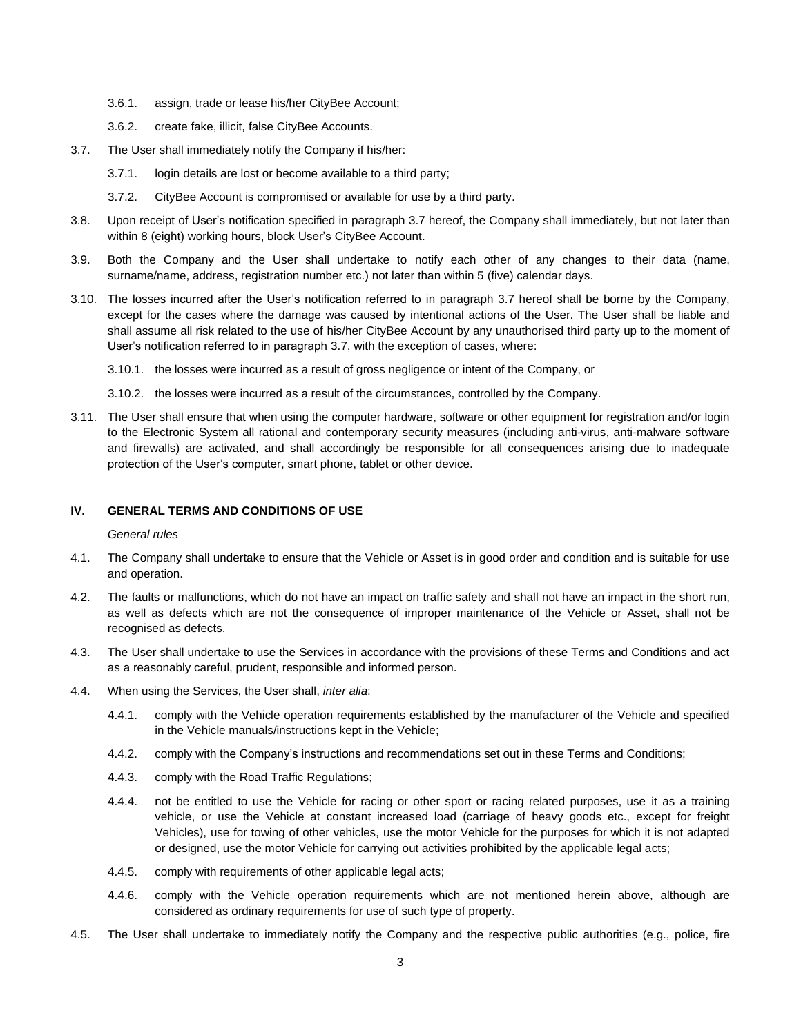- 3.6.1. assign, trade or lease his/her CityBee Account;
- 3.6.2. create fake, illicit, false CityBee Accounts.
- 3.7. The User shall immediately notify the Company if his/her:
	- 3.7.1. login details are lost or become available to a third party;
	- 3.7.2. CityBee Account is compromised or available for use by a third party.
- 3.8. Upon receipt of User's notification specified in paragraph 3.7 hereof, the Company shall immediately, but not later than within 8 (eight) working hours, block User's CityBee Account.
- 3.9. Both the Company and the User shall undertake to notify each other of any changes to their data (name, surname/name, address, registration number etc.) not later than within 5 (five) calendar days.
- 3.10. The losses incurred after the User's notification referred to in paragraph 3.7 hereof shall be borne by the Company, except for the cases where the damage was caused by intentional actions of the User. The User shall be liable and shall assume all risk related to the use of his/her CityBee Account by any unauthorised third party up to the moment of User's notification referred to in paragraph 3.7, with the exception of cases, where:

3.10.1. the losses were incurred as a result of gross negligence or intent of the Company, or

3.10.2. the losses were incurred as a result of the circumstances, controlled by the Company.

3.11. The User shall ensure that when using the computer hardware, software or other equipment for registration and/or login to the Electronic System all rational and contemporary security measures (including anti-virus, anti-malware software and firewalls) are activated, and shall accordingly be responsible for all consequences arising due to inadequate protection of the User's computer, smart phone, tablet or other device.

#### **IV. GENERAL TERMS AND CONDITIONS OF USE**

#### *General rules*

- 4.1. The Company shall undertake to ensure that the Vehicle or Asset is in good order and condition and is suitable for use and operation.
- 4.2. The faults or malfunctions, which do not have an impact on traffic safety and shall not have an impact in the short run, as well as defects which are not the consequence of improper maintenance of the Vehicle or Asset, shall not be recognised as defects.
- 4.3. The User shall undertake to use the Services in accordance with the provisions of these Terms and Conditions and act as a reasonably careful, prudent, responsible and informed person.
- 4.4. When using the Services, the User shall, *inter alia*:
	- 4.4.1. comply with the Vehicle operation requirements established by the manufacturer of the Vehicle and specified in the Vehicle manuals/instructions kept in the Vehicle;
	- 4.4.2. comply with the Company's instructions and recommendations set out in these Terms and Conditions;
	- 4.4.3. comply with the Road Traffic Regulations;
	- 4.4.4. not be entitled to use the Vehicle for racing or other sport or racing related purposes, use it as a training vehicle, or use the Vehicle at constant increased load (carriage of heavy goods etc., except for freight Vehicles), use for towing of other vehicles, use the motor Vehicle for the purposes for which it is not adapted or designed, use the motor Vehicle for carrying out activities prohibited by the applicable legal acts;
	- 4.4.5. comply with requirements of other applicable legal acts;
	- 4.4.6. comply with the Vehicle operation requirements which are not mentioned herein above, although are considered as ordinary requirements for use of such type of property.
- 4.5. The User shall undertake to immediately notify the Company and the respective public authorities (e.g., police, fire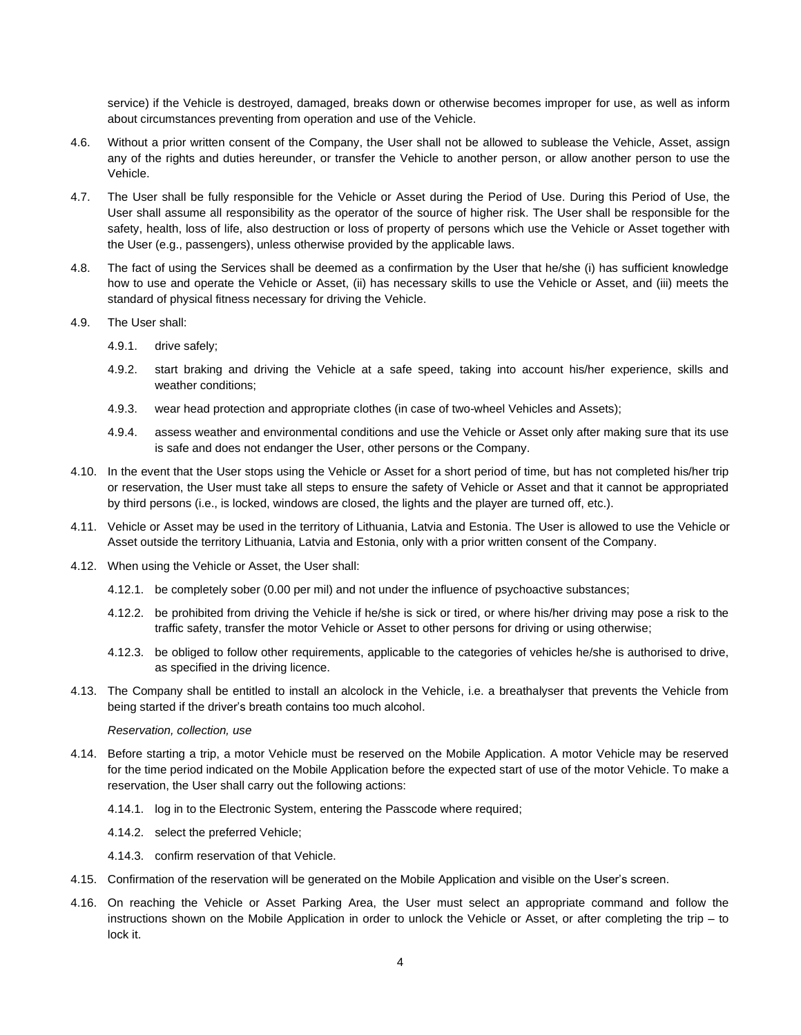service) if the Vehicle is destroyed, damaged, breaks down or otherwise becomes improper for use, as well as inform about circumstances preventing from operation and use of the Vehicle.

- 4.6. Without a prior written consent of the Company, the User shall not be allowed to sublease the Vehicle, Asset, assign any of the rights and duties hereunder, or transfer the Vehicle to another person, or allow another person to use the Vehicle.
- 4.7. The User shall be fully responsible for the Vehicle or Asset during the Period of Use. During this Period of Use, the User shall assume all responsibility as the operator of the source of higher risk. The User shall be responsible for the safety, health, loss of life, also destruction or loss of property of persons which use the Vehicle or Asset together with the User (e.g., passengers), unless otherwise provided by the applicable laws.
- 4.8. The fact of using the Services shall be deemed as a confirmation by the User that he/she (i) has sufficient knowledge how to use and operate the Vehicle or Asset, (ii) has necessary skills to use the Vehicle or Asset, and (iii) meets the standard of physical fitness necessary for driving the Vehicle.
- 4.9. The User shall:
	- 4.9.1. drive safely;
	- 4.9.2. start braking and driving the Vehicle at a safe speed, taking into account his/her experience, skills and weather conditions;
	- 4.9.3. wear head protection and appropriate clothes (in case of two-wheel Vehicles and Assets);
	- 4.9.4. assess weather and environmental conditions and use the Vehicle or Asset only after making sure that its use is safe and does not endanger the User, other persons or the Company.
- 4.10. In the event that the User stops using the Vehicle or Asset for a short period of time, but has not completed his/her trip or reservation, the User must take all steps to ensure the safety of Vehicle or Asset and that it cannot be appropriated by third persons (i.e., is locked, windows are closed, the lights and the player are turned off, etc.).
- 4.11. Vehicle or Asset may be used in the territory of Lithuania, Latvia and Estonia. The User is allowed to use the Vehicle or Asset outside the territory Lithuania, Latvia and Estonia, only with a prior written consent of the Company.
- 4.12. When using the Vehicle or Asset, the User shall:
	- 4.12.1. be completely sober (0.00 per mil) and not under the influence of psychoactive substances;
	- 4.12.2. be prohibited from driving the Vehicle if he/she is sick or tired, or where his/her driving may pose a risk to the traffic safety, transfer the motor Vehicle or Asset to other persons for driving or using otherwise;
	- 4.12.3. be obliged to follow other requirements, applicable to the categories of vehicles he/she is authorised to drive, as specified in the driving licence.
- 4.13. The Company shall be entitled to install an alcolock in the Vehicle, i.e. a breathalyser that prevents the Vehicle from being started if the driver's breath contains too much alcohol.

#### *Reservation, collection, use*

- 4.14. Before starting a trip, a motor Vehicle must be reserved on the Mobile Application. A motor Vehicle may be reserved for the time period indicated on the Mobile Application before the expected start of use of the motor Vehicle. To make a reservation, the User shall carry out the following actions:
	- 4.14.1. log in to the Electronic System, entering the Passcode where required;
	- 4.14.2. select the preferred Vehicle;
	- 4.14.3. confirm reservation of that Vehicle.
- 4.15. Confirmation of the reservation will be generated on the Mobile Application and visible on the User's screen.
- 4.16. On reaching the Vehicle or Asset Parking Area, the User must select an appropriate command and follow the instructions shown on the Mobile Application in order to unlock the Vehicle or Asset, or after completing the trip – to lock it.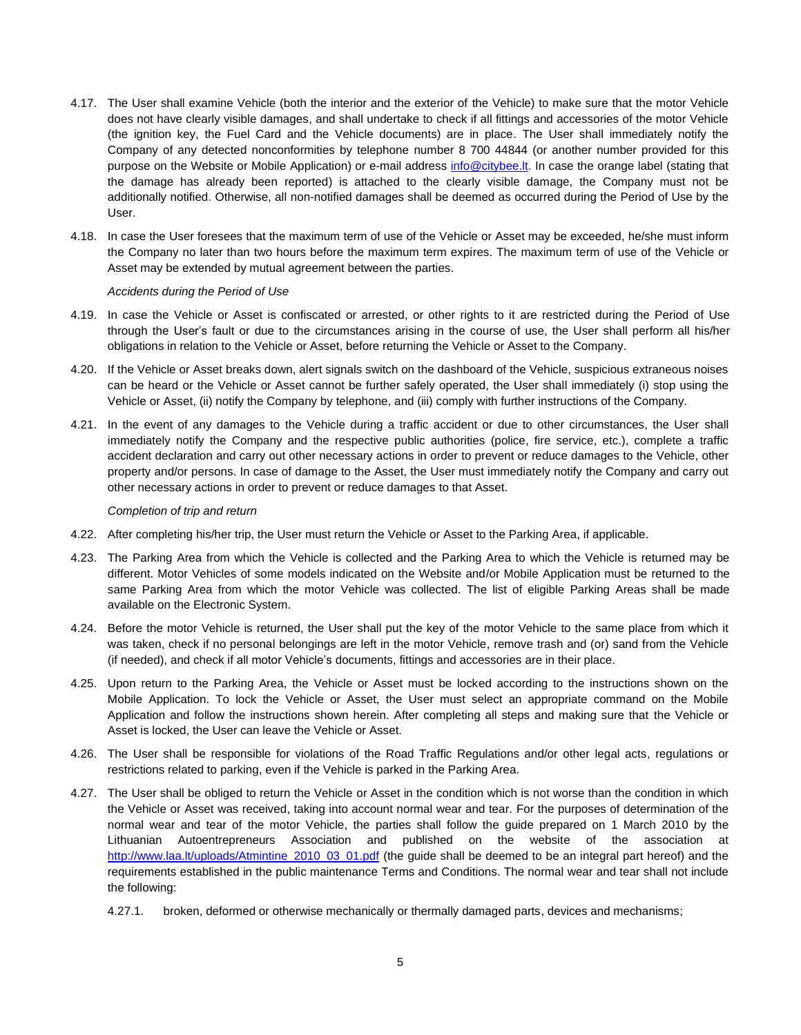- 4.17. The User shall examine Vehicle (both the interior and the exterior of the Vehicle) to make sure that the motor Vehicle does not have clearly visible damages, and shall undertake to check if all fittings and accessories of the motor Vehicle (the ignition key, the Fuel Card and the Vehicle documents) are in place. The User shall immediately notify the Company of any detected nonconformities by telephone number 8 700 44844 (or another number provided for this purpose on the Website or Mobile Application) or e-mail address info@citybee.It. In case the orange label (stating that the damage has already been reported) is attached to the clearly visible damage, the Company must not be additionally notified. Otherwise, all non-notified damages shall be deemed as occurred during the Period of Use by the User.
- 4.18. In case the User foresees that the maximum term of use of the Vehicle or Asset may be exceeded, he/she must inform the Company no later than two hours before the maximum term expires. The maximum term of use of the Vehicle or Asset may be extended by mutual agreement between the parties.

### *Accidents during the Period of Use*

- 4.19. In case the Vehicle or Asset is confiscated or arrested, or other rights to it are restricted during the Period of Use through the User's fault or due to the circumstances arising in the course of use, the User shall perform all his/her obligations in relation to the Vehicle or Asset, before returning the Vehicle or Asset to the Company.
- 4.20. If the Vehicle or Asset breaks down, alert signals switch on the dashboard of the Vehicle, suspicious extraneous noises can be heard or the Vehicle or Asset cannot be further safely operated, the User shall immediately (i) stop using the Vehicle or Asset, (ii) notify the Company by telephone, and (iii) comply with further instructions of the Company.
- 4.21. In the event of any damages to the Vehicle during a traffic accident or due to other circumstances, the User shall immediately notify the Company and the respective public authorities (police, fire service, etc.), complete a traffic accident declaration and carry out other necessary actions in order to prevent or reduce damages to the Vehicle, other property and/or persons. In case of damage to the Asset, the User must immediately notify the Company and carry out other necessary actions in order to prevent or reduce damages to that Asset.

#### *Completion of trip and return*

- 4.22. After completing his/her trip, the User must return the Vehicle or Asset to the Parking Area, if applicable.
- 4.23. The Parking Area from which the Vehicle is collected and the Parking Area to which the Vehicle is returned may be different. Motor Vehicles of some models indicated on the Website and/or Mobile Application must be returned to the same Parking Area from which the motor Vehicle was collected. The list of eligible Parking Areas shall be made available on the Electronic System.
- 4.24. Before the motor Vehicle is returned, the User shall put the key of the motor Vehicle to the same place from which it was taken, check if no personal belongings are left in the motor Vehicle, remove trash and (or) sand from the Vehicle (if needed), and check if all motor Vehicle's documents, fittings and accessories are in their place.
- 4.25. Upon return to the Parking Area, the Vehicle or Asset must be locked according to the instructions shown on the Mobile Application. To lock the Vehicle or Asset, the User must select an appropriate command on the Mobile Application and follow the instructions shown herein. After completing all steps and making sure that the Vehicle or Asset is locked, the User can leave the Vehicle or Asset.
- 4.26. The User shall be responsible for violations of the Road Traffic Regulations and/or other legal acts, regulations or restrictions related to parking, even if the Vehicle is parked in the Parking Area.
- 4.27. The User shall be obliged to return the Vehicle or Asset in the condition which is not worse than the condition in which the Vehicle or Asset was received, taking into account normal wear and tear. For the purposes of determination of the normal wear and tear of the motor Vehicle, the parties shall follow the guide prepared on 1 March 2010 by the Lithuanian Autoentrepreneurs Association and published on the website of the association at [http://www.laa.lt/uploads/Atmintine\\_2010\\_03\\_01.pdf](http://www.laa.lt/uploads/Atmintine_2010_03_01.pdf) (the guide shall be deemed to be an integral part hereof) and the requirements established in the public maintenance Terms and Conditions. The normal wear and tear shall not include the following:
	- 4.27.1. broken, deformed or otherwise mechanically or thermally damaged parts, devices and mechanisms;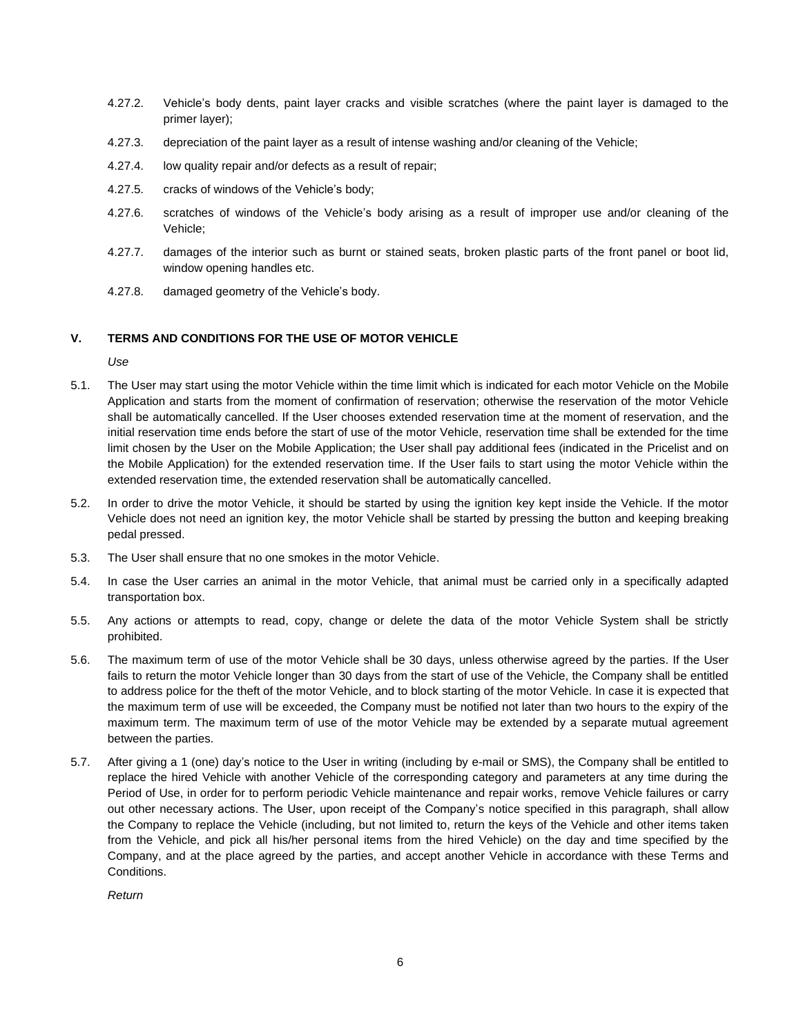- 4.27.2. Vehicle's body dents, paint layer cracks and visible scratches (where the paint layer is damaged to the primer layer);
- 4.27.3. depreciation of the paint layer as a result of intense washing and/or cleaning of the Vehicle;
- 4.27.4. low quality repair and/or defects as a result of repair;
- 4.27.5. cracks of windows of the Vehicle's body;
- 4.27.6. scratches of windows of the Vehicle's body arising as a result of improper use and/or cleaning of the Vehicle;
- 4.27.7. damages of the interior such as burnt or stained seats, broken plastic parts of the front panel or boot lid, window opening handles etc.
- 4.27.8. damaged geometry of the Vehicle's body.

### **V. TERMS AND CONDITIONS FOR THE USE OF MOTOR VEHICLE**

*Use*

- 5.1. The User may start using the motor Vehicle within the time limit which is indicated for each motor Vehicle on the Mobile Application and starts from the moment of confirmation of reservation; otherwise the reservation of the motor Vehicle shall be automatically cancelled. If the User chooses extended reservation time at the moment of reservation, and the initial reservation time ends before the start of use of the motor Vehicle, reservation time shall be extended for the time limit chosen by the User on the Mobile Application; the User shall pay additional fees (indicated in the Pricelist and on the Mobile Application) for the extended reservation time. If the User fails to start using the motor Vehicle within the extended reservation time, the extended reservation shall be automatically cancelled.
- 5.2. In order to drive the motor Vehicle, it should be started by using the ignition key kept inside the Vehicle. If the motor Vehicle does not need an ignition key, the motor Vehicle shall be started by pressing the button and keeping breaking pedal pressed.
- 5.3. The User shall ensure that no one smokes in the motor Vehicle.
- 5.4. In case the User carries an animal in the motor Vehicle, that animal must be carried only in a specifically adapted transportation box.
- 5.5. Any actions or attempts to read, copy, change or delete the data of the motor Vehicle System shall be strictly prohibited.
- 5.6. The maximum term of use of the motor Vehicle shall be 30 days, unless otherwise agreed by the parties. If the User fails to return the motor Vehicle longer than 30 days from the start of use of the Vehicle, the Company shall be entitled to address police for the theft of the motor Vehicle, and to block starting of the motor Vehicle. In case it is expected that the maximum term of use will be exceeded, the Company must be notified not later than two hours to the expiry of the maximum term. The maximum term of use of the motor Vehicle may be extended by a separate mutual agreement between the parties.
- 5.7. After giving a 1 (one) day's notice to the User in writing (including by e-mail or SMS), the Company shall be entitled to replace the hired Vehicle with another Vehicle of the corresponding category and parameters at any time during the Period of Use, in order for to perform periodic Vehicle maintenance and repair works, remove Vehicle failures or carry out other necessary actions. The User, upon receipt of the Company's notice specified in this paragraph, shall allow the Company to replace the Vehicle (including, but not limited to, return the keys of the Vehicle and other items taken from the Vehicle, and pick all his/her personal items from the hired Vehicle) on the day and time specified by the Company, and at the place agreed by the parties, and accept another Vehicle in accordance with these Terms and Conditions.

*Return*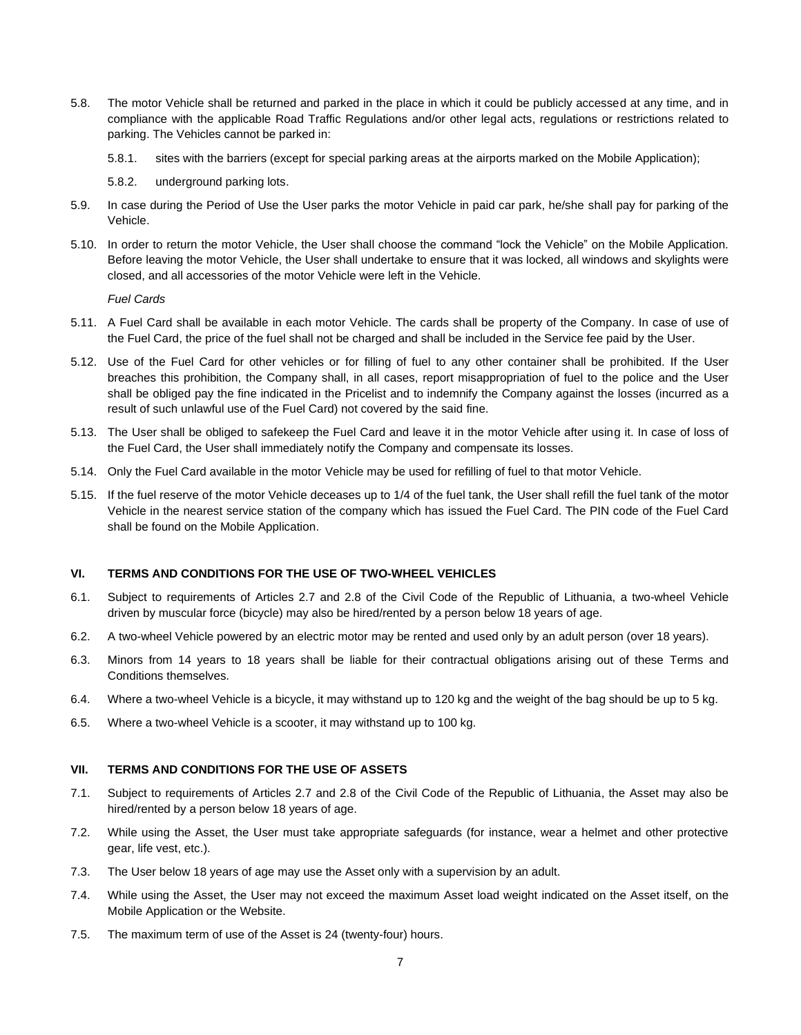- 5.8. The motor Vehicle shall be returned and parked in the place in which it could be publicly accessed at any time, and in compliance with the applicable Road Traffic Regulations and/or other legal acts, regulations or restrictions related to parking. The Vehicles cannot be parked in:
	- 5.8.1. sites with the barriers (except for special parking areas at the airports marked on the Mobile Application);
	- 5.8.2. underground parking lots.
- 5.9. In case during the Period of Use the User parks the motor Vehicle in paid car park, he/she shall pay for parking of the Vehicle.
- 5.10. In order to return the motor Vehicle, the User shall choose the command "lock the Vehicle" on the Mobile Application. Before leaving the motor Vehicle, the User shall undertake to ensure that it was locked, all windows and skylights were closed, and all accessories of the motor Vehicle were left in the Vehicle.

*Fuel Cards*

- 5.11. A Fuel Card shall be available in each motor Vehicle. The cards shall be property of the Company. In case of use of the Fuel Card, the price of the fuel shall not be charged and shall be included in the Service fee paid by the User.
- <span id="page-6-0"></span>5.12. Use of the Fuel Card for other vehicles or for filling of fuel to any other container shall be prohibited. If the User breaches this prohibition, the Company shall, in all cases, report misappropriation of fuel to the police and the User shall be obliged pay the fine indicated in the Pricelist and to indemnify the Company against the losses (incurred as a result of such unlawful use of the Fuel Card) not covered by the said fine.
- 5.13. The User shall be obliged to safekeep the Fuel Card and leave it in the motor Vehicle after using it. In case of loss of the Fuel Card, the User shall immediately notify the Company and compensate its losses.
- 5.14. Only the Fuel Card available in the motor Vehicle may be used for refilling of fuel to that motor Vehicle.
- 5.15. If the fuel reserve of the motor Vehicle deceases up to 1/4 of the fuel tank, the User shall refill the fuel tank of the motor Vehicle in the nearest service station of the company which has issued the Fuel Card. The PIN code of the Fuel Card shall be found on the Mobile Application.

### **VI. TERMS AND CONDITIONS FOR THE USE OF TWO-WHEEL VEHICLES**

- 6.1. Subject to requirements of Articles 2.7 and 2.8 of the Civil Code of the Republic of Lithuania, a two-wheel Vehicle driven by muscular force (bicycle) may also be hired/rented by a person below 18 years of age.
- 6.2. A two-wheel Vehicle powered by an electric motor may be rented and used only by an adult person (over 18 years).
- 6.3. Minors from 14 years to 18 years shall be liable for their contractual obligations arising out of these Terms and Conditions themselves.
- 6.4. Where a two-wheel Vehicle is a bicycle, it may withstand up to 120 kg and the weight of the bag should be up to 5 kg.
- 6.5. Where a two-wheel Vehicle is a scooter, it may withstand up to 100 kg.

### **VII. TERMS AND CONDITIONS FOR THE USE OF ASSETS**

- 7.1. Subject to requirements of Articles 2.7 and 2.8 of the Civil Code of the Republic of Lithuania, the Asset may also be hired/rented by a person below 18 years of age.
- 7.2. While using the Asset, the User must take appropriate safeguards (for instance, wear a helmet and other protective gear, life vest, etc.).
- 7.3. The User below 18 years of age may use the Asset only with a supervision by an adult.
- 7.4. While using the Asset, the User may not exceed the maximum Asset load weight indicated on the Asset itself, on the Mobile Application or the Website.
- 7.5. The maximum term of use of the Asset is 24 (twenty-four) hours.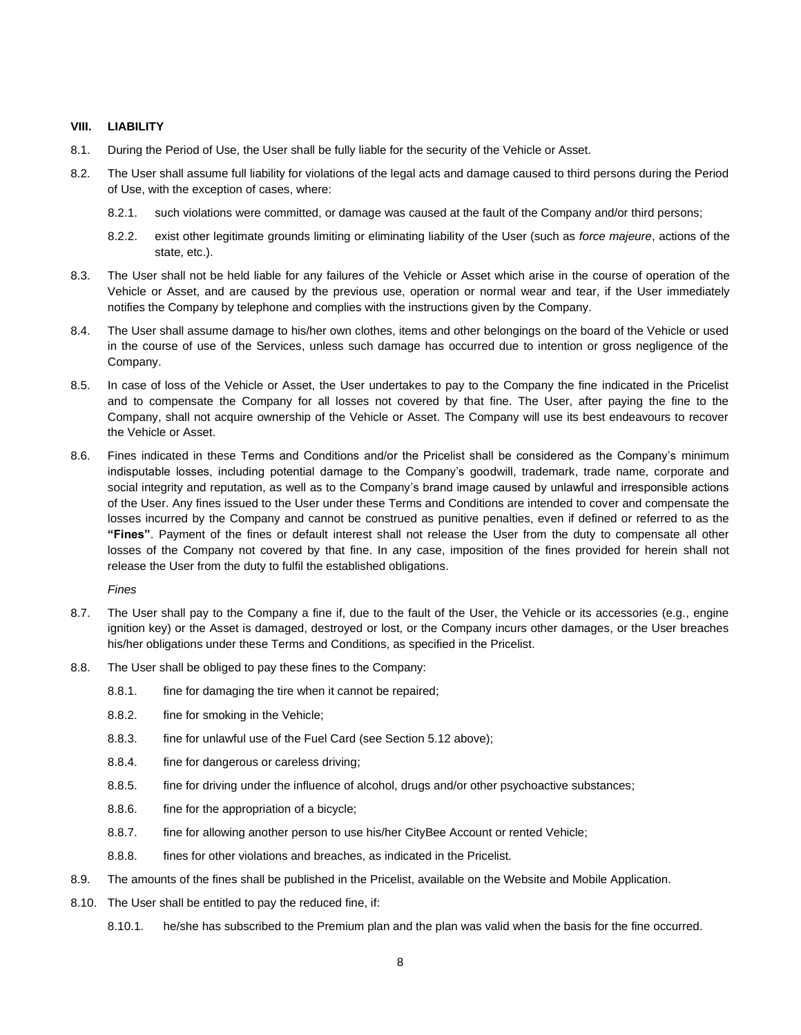### **VIII. LIABILITY**

- 8.1. During the Period of Use, the User shall be fully liable for the security of the Vehicle or Asset.
- 8.2. The User shall assume full liability for violations of the legal acts and damage caused to third persons during the Period of Use, with the exception of cases, where:
	- 8.2.1. such violations were committed, or damage was caused at the fault of the Company and/or third persons;
	- 8.2.2. exist other legitimate grounds limiting or eliminating liability of the User (such as *force majeure*, actions of the state, etc.).
- 8.3. The User shall not be held liable for any failures of the Vehicle or Asset which arise in the course of operation of the Vehicle or Asset, and are caused by the previous use, operation or normal wear and tear, if the User immediately notifies the Company by telephone and complies with the instructions given by the Company.
- 8.4. The User shall assume damage to his/her own clothes, items and other belongings on the board of the Vehicle or used in the course of use of the Services, unless such damage has occurred due to intention or gross negligence of the Company.
- 8.5. In case of loss of the Vehicle or Asset, the User undertakes to pay to the Company the fine indicated in the Pricelist and to compensate the Company for all losses not covered by that fine. The User, after paying the fine to the Company, shall not acquire ownership of the Vehicle or Asset. The Company will use its best endeavours to recover the Vehicle or Asset.
- 8.6. Fines indicated in these Terms and Conditions and/or the Pricelist shall be considered as the Company's minimum indisputable losses, including potential damage to the Company's goodwill, trademark, trade name, corporate and social integrity and reputation, as well as to the Company's brand image caused by unlawful and irresponsible actions of the User. Any fines issued to the User under these Terms and Conditions are intended to cover and compensate the losses incurred by the Company and cannot be construed as punitive penalties, even if defined or referred to as the **"Fines"**. Payment of the fines or default interest shall not release the User from the duty to compensate all other losses of the Company not covered by that fine. In any case, imposition of the fines provided for herein shall not release the User from the duty to fulfil the established obligations.

*Fines* 

- 8.7. The User shall pay to the Company a fine if, due to the fault of the User, the Vehicle or its accessories (e.g., engine ignition key) or the Asset is damaged, destroyed or lost, or the Company incurs other damages, or the User breaches his/her obligations under these Terms and Conditions, as specified in the Pricelist.
- 8.8. The User shall be obliged to pay these fines to the Company:
	- 8.8.1. fine for damaging the tire when it cannot be repaired;
	- 8.8.2. fine for smoking in the Vehicle;
	- 8.8.3. fine for unlawful use of the Fuel Card (see Section [5.12](#page-6-0) above);
	- 8.8.4. fine for dangerous or careless driving;
	- 8.8.5. fine for driving under the influence of alcohol, drugs and/or other psychoactive substances;
	- 8.8.6. fine for the appropriation of a bicycle;
	- 8.8.7. fine for allowing another person to use his/her CityBee Account or rented Vehicle;
	- 8.8.8. fines for other violations and breaches, as indicated in the Pricelist.
- 8.9. The amounts of the fines shall be published in the Pricelist, available on the Website and Mobile Application.
- 8.10. The User shall be entitled to pay the reduced fine, if:
	- 8.10.1. he/she has subscribed to the Premium plan and the plan was valid when the basis for the fine occurred.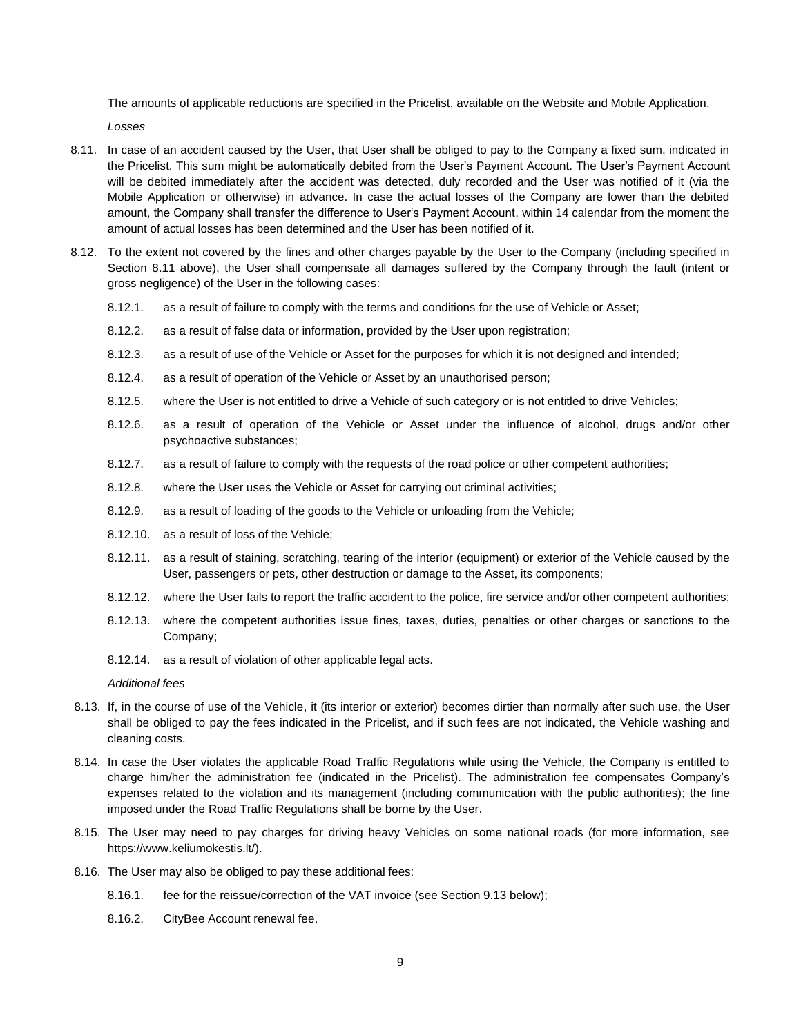The amounts of applicable reductions are specified in the Pricelist, available on the Website and Mobile Application.

*Losses*

- <span id="page-8-0"></span>8.11. In case of an accident caused by the User, that User shall be obliged to pay to the Company a fixed sum, indicated in the Pricelist. This sum might be automatically debited from the User's Payment Account. The User's Payment Account will be debited immediately after the accident was detected, duly recorded and the User was notified of it (via the Mobile Application or otherwise) in advance. In case the actual losses of the Company are lower than the debited amount, the Company shall transfer the difference to User's Payment Account, within 14 calendar from the moment the amount of actual losses has been determined and the User has been notified of it.
- 8.12. To the extent not covered by the fines and other charges payable by the User to the Company (including specified in Section [8.11](#page-8-0) above), the User shall compensate all damages suffered by the Company through the fault (intent or gross negligence) of the User in the following cases:
	- 8.12.1. as a result of failure to comply with the terms and conditions for the use of Vehicle or Asset;
	- 8.12.2. as a result of false data or information, provided by the User upon registration;
	- 8.12.3. as a result of use of the Vehicle or Asset for the purposes for which it is not designed and intended;
	- 8.12.4. as a result of operation of the Vehicle or Asset by an unauthorised person;
	- 8.12.5. where the User is not entitled to drive a Vehicle of such category or is not entitled to drive Vehicles;
	- 8.12.6. as a result of operation of the Vehicle or Asset under the influence of alcohol, drugs and/or other psychoactive substances;
	- 8.12.7. as a result of failure to comply with the requests of the road police or other competent authorities;
	- 8.12.8. where the User uses the Vehicle or Asset for carrying out criminal activities;
	- 8.12.9. as a result of loading of the goods to the Vehicle or unloading from the Vehicle;
	- 8.12.10. as a result of loss of the Vehicle;
	- 8.12.11. as a result of staining, scratching, tearing of the interior (equipment) or exterior of the Vehicle caused by the User, passengers or pets, other destruction or damage to the Asset, its components;
	- 8.12.12. where the User fails to report the traffic accident to the police, fire service and/or other competent authorities;
	- 8.12.13. where the competent authorities issue fines, taxes, duties, penalties or other charges or sanctions to the Company;
	- 8.12.14. as a result of violation of other applicable legal acts.

*Additional fees* 

- 8.13. If, in the course of use of the Vehicle, it (its interior or exterior) becomes dirtier than normally after such use, the User shall be obliged to pay the fees indicated in the Pricelist, and if such fees are not indicated, the Vehicle washing and cleaning costs.
- 8.14. In case the User violates the applicable Road Traffic Regulations while using the Vehicle, the Company is entitled to charge him/her the administration fee (indicated in the Pricelist). The administration fee compensates Company's expenses related to the violation and its management (including communication with the public authorities); the fine imposed under the Road Traffic Regulations shall be borne by the User.
- 8.15. The User may need to pay charges for driving heavy Vehicles on some national roads (for more information, see [https://www.keliumokestis.lt/\)](https://www.keliumokestis.lt/).
- 8.16. The User may also be obliged to pay these additional fees:
	- 8.16.1. fee for the reissue/correction of the VAT invoice (see Sectio[n 9.13](#page-10-0) below);
	- 8.16.2. CityBee Account renewal fee.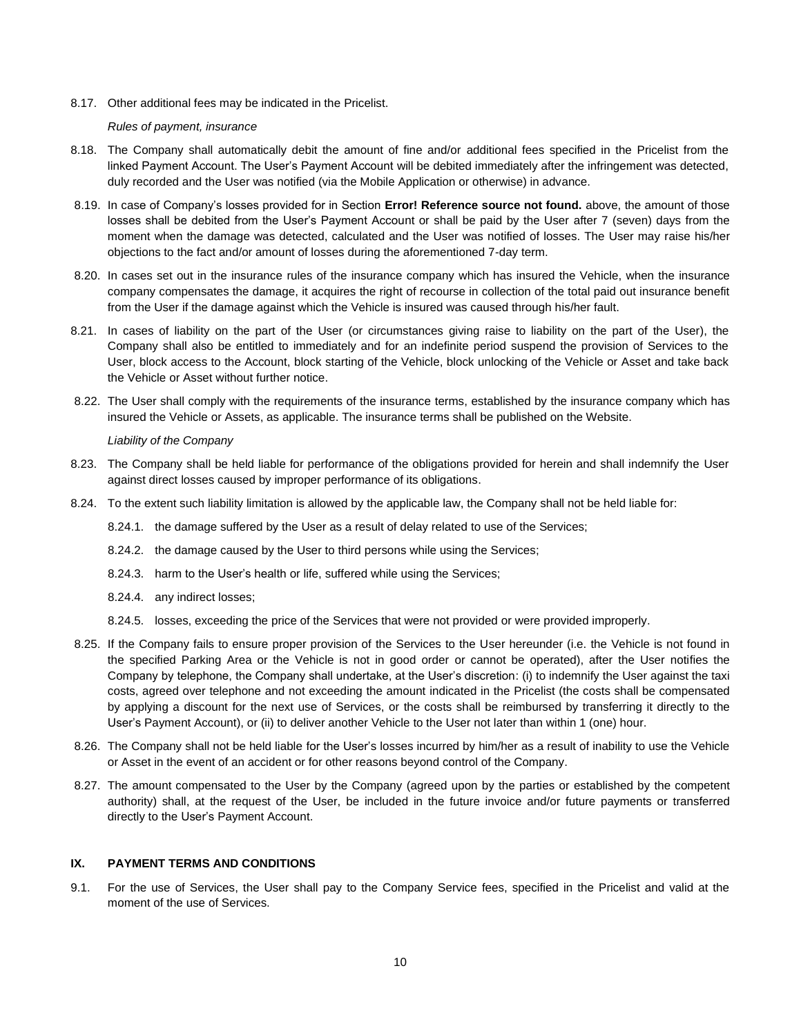8.17. Other additional fees may be indicated in the Pricelist.

#### *Rules of payment, insurance*

- 8.18. The Company shall automatically debit the amount of fine and/or additional fees specified in the Pricelist from the linked Payment Account. The User's Payment Account will be debited immediately after the infringement was detected, duly recorded and the User was notified (via the Mobile Application or otherwise) in advance.
- 8.19. In case of Company's losses provided for in Section **Error! Reference source not found.** above, the amount of those losses shall be debited from the User's Payment Account or shall be paid by the User after 7 (seven) days from the moment when the damage was detected, calculated and the User was notified of losses. The User may raise his/her objections to the fact and/or amount of losses during the aforementioned 7-day term.
- 8.20. In cases set out in the insurance rules of the insurance company which has insured the Vehicle, when the insurance company compensates the damage, it acquires the right of recourse in collection of the total paid out insurance benefit from the User if the damage against which the Vehicle is insured was caused through his/her fault.
- 8.21. In cases of liability on the part of the User (or circumstances giving raise to liability on the part of the User), the Company shall also be entitled to immediately and for an indefinite period suspend the provision of Services to the User, block access to the Account, block starting of the Vehicle, block unlocking of the Vehicle or Asset and take back the Vehicle or Asset without further notice.
- 8.22. The User shall comply with the requirements of the insurance terms, established by the insurance company which has insured the Vehicle or Assets, as applicable. The insurance terms shall be published on the Website.

*Liability of the Company* 

- 8.23. The Company shall be held liable for performance of the obligations provided for herein and shall indemnify the User against direct losses caused by improper performance of its obligations.
- 8.24. To the extent such liability limitation is allowed by the applicable law, the Company shall not be held liable for:
	- 8.24.1. the damage suffered by the User as a result of delay related to use of the Services;
	- 8.24.2. the damage caused by the User to third persons while using the Services;
	- 8.24.3. harm to the User's health or life, suffered while using the Services;
	- 8.24.4. any indirect losses;
	- 8.24.5. losses, exceeding the price of the Services that were not provided or were provided improperly.
- 8.25. If the Company fails to ensure proper provision of the Services to the User hereunder (i.e. the Vehicle is not found in the specified Parking Area or the Vehicle is not in good order or cannot be operated), after the User notifies the Company by telephone, the Company shall undertake, at the User's discretion: (i) to indemnify the User against the taxi costs, agreed over telephone and not exceeding the amount indicated in the Pricelist (the costs shall be compensated by applying a discount for the next use of Services, or the costs shall be reimbursed by transferring it directly to the User's Payment Account), or (ii) to deliver another Vehicle to the User not later than within 1 (one) hour.
- 8.26. The Company shall not be held liable for the User's losses incurred by him/her as a result of inability to use the Vehicle or Asset in the event of an accident or for other reasons beyond control of the Company.
- 8.27. The amount compensated to the User by the Company (agreed upon by the parties or established by the competent authority) shall, at the request of the User, be included in the future invoice and/or future payments or transferred directly to the User's Payment Account.

# **IX. PAYMENT TERMS AND CONDITIONS**

9.1. For the use of Services, the User shall pay to the Company Service fees, specified in the Pricelist and valid at the moment of the use of Services.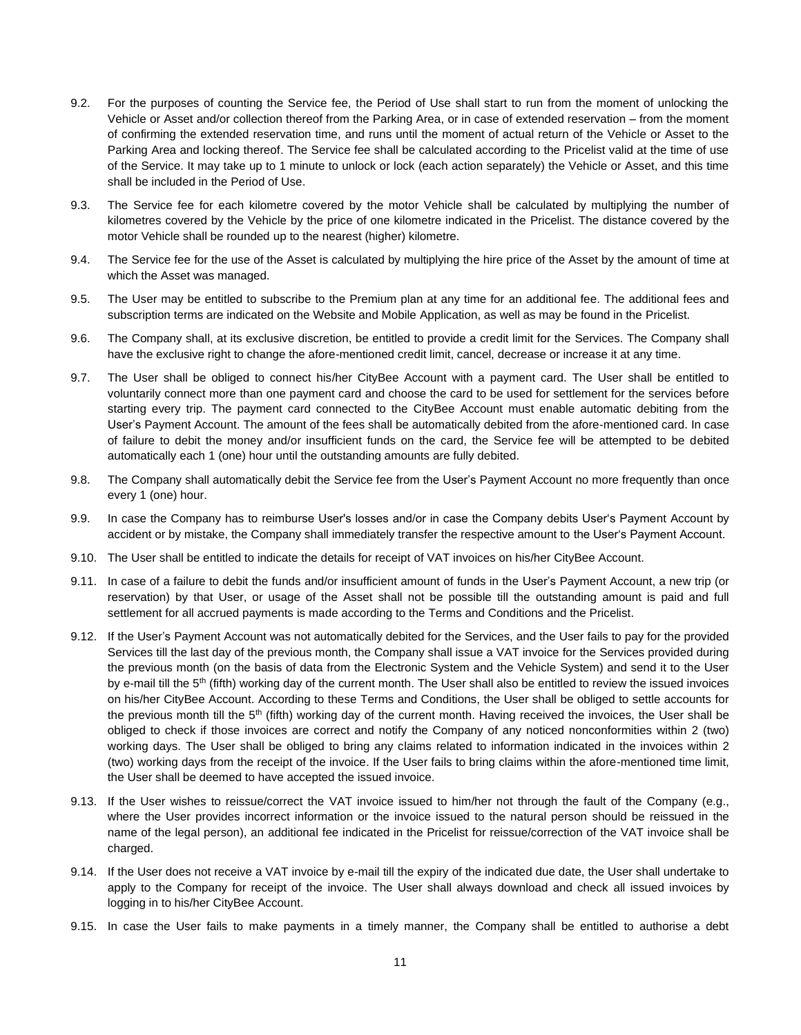- 9.2. For the purposes of counting the Service fee, the Period of Use shall start to run from the moment of unlocking the Vehicle or Asset and/or collection thereof from the Parking Area, or in case of extended reservation – from the moment of confirming the extended reservation time, and runs until the moment of actual return of the Vehicle or Asset to the Parking Area and locking thereof. The Service fee shall be calculated according to the Pricelist valid at the time of use of the Service. It may take up to 1 minute to unlock or lock (each action separately) the Vehicle or Asset, and this time shall be included in the Period of Use.
- 9.3. The Service fee for each kilometre covered by the motor Vehicle shall be calculated by multiplying the number of kilometres covered by the Vehicle by the price of one kilometre indicated in the Pricelist. The distance covered by the motor Vehicle shall be rounded up to the nearest (higher) kilometre.
- 9.4. The Service fee for the use of the Asset is calculated by multiplying the hire price of the Asset by the amount of time at which the Asset was managed.
- 9.5. The User may be entitled to subscribe to the Premium plan at any time for an additional fee. The additional fees and subscription terms are indicated on the Website and Mobile Application, as well as may be found in the Pricelist.
- 9.6. The Company shall, at its exclusive discretion, be entitled to provide a credit limit for the Services. The Company shall have the exclusive right to change the afore-mentioned credit limit, cancel, decrease or increase it at any time.
- 9.7. The User shall be obliged to connect his/her CityBee Account with a payment card. The User shall be entitled to voluntarily connect more than one payment card and choose the card to be used for settlement for the services before starting every trip. The payment card connected to the CityBee Account must enable automatic debiting from the User's Payment Account. The amount of the fees shall be automatically debited from the afore-mentioned card. In case of failure to debit the money and/or insufficient funds on the card, the Service fee will be attempted to be debited automatically each 1 (one) hour until the outstanding amounts are fully debited.
- 9.8. The Company shall automatically debit the Service fee from the User's Payment Account no more frequently than once every 1 (one) hour.
- 9.9. In case the Company has to reimburse User's losses and/or in case the Company debits User's Payment Account by accident or by mistake, the Company shall immediately transfer the respective amount to the User's Payment Account.
- 9.10. The User shall be entitled to indicate the details for receipt of VAT invoices on his/her CityBee Account.
- 9.11. In case of a failure to debit the funds and/or insufficient amount of funds in the User's Payment Account, a new trip (or reservation) by that User, or usage of the Asset shall not be possible till the outstanding amount is paid and full settlement for all accrued payments is made according to the Terms and Conditions and the Pricelist.
- 9.12. If the User's Payment Account was not automatically debited for the Services, and the User fails to pay for the provided Services till the last day of the previous month, the Company shall issue a VAT invoice for the Services provided during the previous month (on the basis of data from the Electronic System and the Vehicle System) and send it to the User by e-mail till the 5<sup>th</sup> (fifth) working day of the current month. The User shall also be entitled to review the issued invoices on his/her CityBee Account. According to these Terms and Conditions, the User shall be obliged to settle accounts for the previous month till the 5<sup>th</sup> (fifth) working day of the current month. Having received the invoices, the User shall be obliged to check if those invoices are correct and notify the Company of any noticed nonconformities within 2 (two) working days. The User shall be obliged to bring any claims related to information indicated in the invoices within 2 (two) working days from the receipt of the invoice. If the User fails to bring claims within the afore-mentioned time limit, the User shall be deemed to have accepted the issued invoice.
- <span id="page-10-0"></span>9.13. If the User wishes to reissue/correct the VAT invoice issued to him/her not through the fault of the Company (e.g., where the User provides incorrect information or the invoice issued to the natural person should be reissued in the name of the legal person), an additional fee indicated in the Pricelist for reissue/correction of the VAT invoice shall be charged.
- 9.14. If the User does not receive a VAT invoice by e-mail till the expiry of the indicated due date, the User shall undertake to apply to the Company for receipt of the invoice. The User shall always download and check all issued invoices by logging in to his/her CityBee Account.
- 9.15. In case the User fails to make payments in a timely manner, the Company shall be entitled to authorise a debt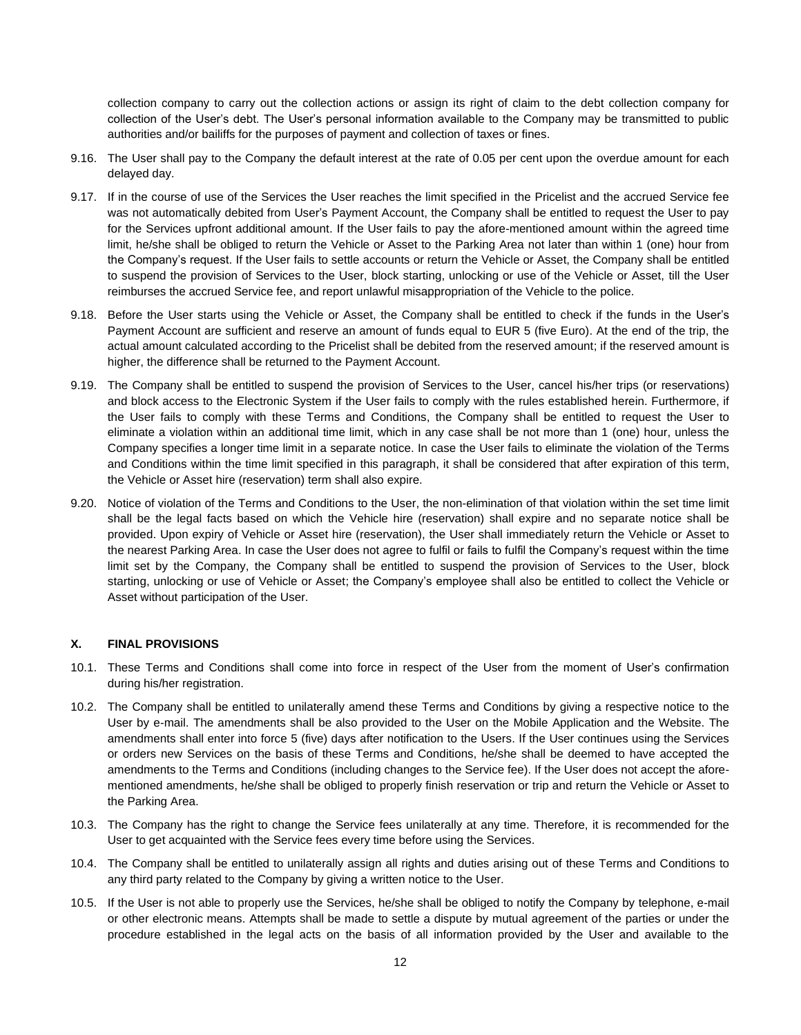collection company to carry out the collection actions or assign its right of claim to the debt collection company for collection of the User's debt. The User's personal information available to the Company may be transmitted to public authorities and/or bailiffs for the purposes of payment and collection of taxes or fines.

- 9.16. The User shall pay to the Company the default interest at the rate of 0.05 per cent upon the overdue amount for each delayed day.
- 9.17. If in the course of use of the Services the User reaches the limit specified in the Pricelist and the accrued Service fee was not automatically debited from User's Payment Account, the Company shall be entitled to request the User to pay for the Services upfront additional amount. If the User fails to pay the afore-mentioned amount within the agreed time limit, he/she shall be obliged to return the Vehicle or Asset to the Parking Area not later than within 1 (one) hour from the Company's request. If the User fails to settle accounts or return the Vehicle or Asset, the Company shall be entitled to suspend the provision of Services to the User, block starting, unlocking or use of the Vehicle or Asset, till the User reimburses the accrued Service fee, and report unlawful misappropriation of the Vehicle to the police.
- 9.18. Before the User starts using the Vehicle or Asset, the Company shall be entitled to check if the funds in the User's Payment Account are sufficient and reserve an amount of funds equal to EUR 5 (five Euro). At the end of the trip, the actual amount calculated according to the Pricelist shall be debited from the reserved amount; if the reserved amount is higher, the difference shall be returned to the Payment Account.
- 9.19. The Company shall be entitled to suspend the provision of Services to the User, cancel his/her trips (or reservations) and block access to the Electronic System if the User fails to comply with the rules established herein. Furthermore, if the User fails to comply with these Terms and Conditions, the Company shall be entitled to request the User to eliminate a violation within an additional time limit, which in any case shall be not more than 1 (one) hour, unless the Company specifies a longer time limit in a separate notice. In case the User fails to eliminate the violation of the Terms and Conditions within the time limit specified in this paragraph, it shall be considered that after expiration of this term, the Vehicle or Asset hire (reservation) term shall also expire.
- 9.20. Notice of violation of the Terms and Conditions to the User, the non-elimination of that violation within the set time limit shall be the legal facts based on which the Vehicle hire (reservation) shall expire and no separate notice shall be provided. Upon expiry of Vehicle or Asset hire (reservation), the User shall immediately return the Vehicle or Asset to the nearest Parking Area. In case the User does not agree to fulfil or fails to fulfil the Company's request within the time limit set by the Company, the Company shall be entitled to suspend the provision of Services to the User, block starting, unlocking or use of Vehicle or Asset; the Company's employee shall also be entitled to collect the Vehicle or Asset without participation of the User.

### **X. FINAL PROVISIONS**

- 10.1. These Terms and Conditions shall come into force in respect of the User from the moment of User's confirmation during his/her registration.
- 10.2. The Company shall be entitled to unilaterally amend these Terms and Conditions by giving a respective notice to the User by e-mail. The amendments shall be also provided to the User on the Mobile Application and the Website. The amendments shall enter into force 5 (five) days after notification to the Users. If the User continues using the Services or orders new Services on the basis of these Terms and Conditions, he/she shall be deemed to have accepted the amendments to the Terms and Conditions (including changes to the Service fee). If the User does not accept the aforementioned amendments, he/she shall be obliged to properly finish reservation or trip and return the Vehicle or Asset to the Parking Area.
- 10.3. The Company has the right to change the Service fees unilaterally at any time. Therefore, it is recommended for the User to get acquainted with the Service fees every time before using the Services.
- 10.4. The Company shall be entitled to unilaterally assign all rights and duties arising out of these Terms and Conditions to any third party related to the Company by giving a written notice to the User.
- 10.5. If the User is not able to properly use the Services, he/she shall be obliged to notify the Company by telephone, e-mail or other electronic means. Attempts shall be made to settle a dispute by mutual agreement of the parties or under the procedure established in the legal acts on the basis of all information provided by the User and available to the